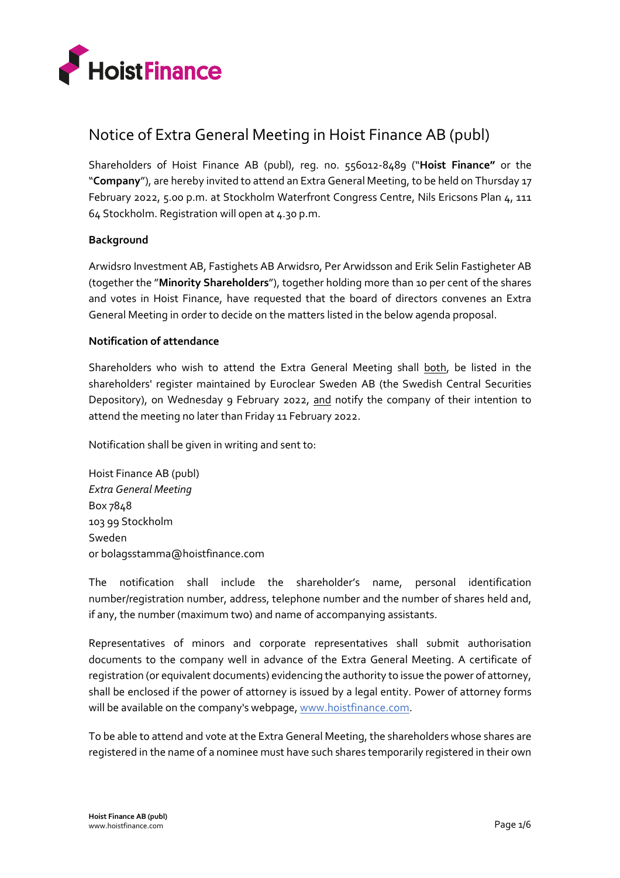

# Notice of Extra General Meeting in Hoist Finance AB (publ)

Shareholders of Hoist Finance AB (publ), reg. no. 556012-8489 ("**Hoist Finance"** or the "**Company**"), are hereby invited to attend an Extra General Meeting, to be held on Thursday 17 February 2022, 5.00 p.m. at Stockholm Waterfront Congress Centre, Nils Ericsons Plan 4, 111 64 Stockholm. Registration will open at 4.30 p.m.

# **Background**

Arwidsro Investment AB, Fastighets AB Arwidsro, Per Arwidsson and Erik Selin Fastigheter AB (together the "**Minority Shareholders**"), together holding more than 10 per cent of the shares and votes in Hoist Finance, have requested that the board of directors convenes an Extra General Meeting in order to decide on the matters listed in the below agenda proposal.

# **Notification of attendance**

Shareholders who wish to attend the Extra General Meeting shall both, be listed in the shareholders' register maintained by Euroclear Sweden AB (the Swedish Central Securities Depository), on Wednesday 9 February 2022, and notify the company of their intention to attend the meeting no later than Friday 11 February 2022.

Notification shall be given in writing and sent to:

Hoist Finance AB (publ) *Extra General Meeting* Box 7848 103 99 Stockholm Sweden or bolagsstamma@hoistfinance.com

The notification shall include the shareholder's name, personal identification number/registration number, address, telephone number and the number of shares held and, if any, the number (maximum two) and name of accompanying assistants.

Representatives of minors and corporate representatives shall submit authorisation documents to the company well in advance of the Extra General Meeting. A certificate of registration (or equivalent documents) evidencing the authority to issue the power of attorney, shall be enclosed if the power of attorney is issued by a legal entity. Power of attorney forms will be available on the company's webpage[, www.hoistfinance.com.](http://www.hoistfinance.com/)

To be able to attend and vote at the Extra General Meeting, the shareholders whose shares are registered in the name of a nominee must have such shares temporarily registered in their own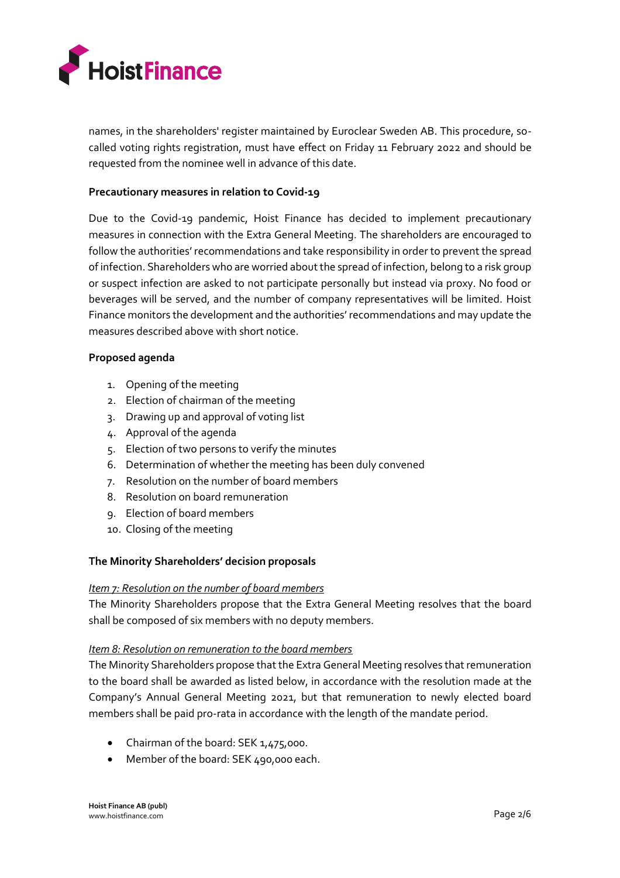

names, in the shareholders' register maintained by Euroclear Sweden AB. This procedure, socalled voting rights registration, must have effect on Friday 11 February 2022 and should be requested from the nominee well in advance of this date.

## **Precautionary measures in relation to Covid-19**

Due to the Covid-19 pandemic, Hoist Finance has decided to implement precautionary measures in connection with the Extra General Meeting. The shareholders are encouraged to follow the authorities' recommendations and take responsibility in order to prevent the spread of infection. Shareholders who are worried about the spread of infection, belong to a risk group or suspect infection are asked to not participate personally but instead via proxy. No food or beverages will be served, and the number of company representatives will be limited. Hoist Finance monitors the development and the authorities' recommendations and may update the measures described above with short notice.

#### **Proposed agenda**

- 1. Opening of the meeting
- 2. Election of chairman of the meeting
- 3. Drawing up and approval of voting list
- 4. Approval of the agenda
- 5. Election of two persons to verify the minutes
- 6. Determination of whether the meeting has been duly convened
- 7. Resolution on the number of board members
- 8. Resolution on board remuneration
- 9. Election of board members
- 10. Closing of the meeting

# **The Minority Shareholders' decision proposals**

#### *Item 7: Resolution on the number of board members*

The Minority Shareholders propose that the Extra General Meeting resolves that the board shall be composed of six members with no deputy members.

#### *Item 8: Resolution on remuneration to the board members*

The Minority Shareholders propose that the Extra General Meeting resolves that remuneration to the board shall be awarded as listed below, in accordance with the resolution made at the Company's Annual General Meeting 2021, but that remuneration to newly elected board members shall be paid pro-rata in accordance with the length of the mandate period.

- Chairman of the board: SEK 1,475,000.
- Member of the board: SEK 490,000 each.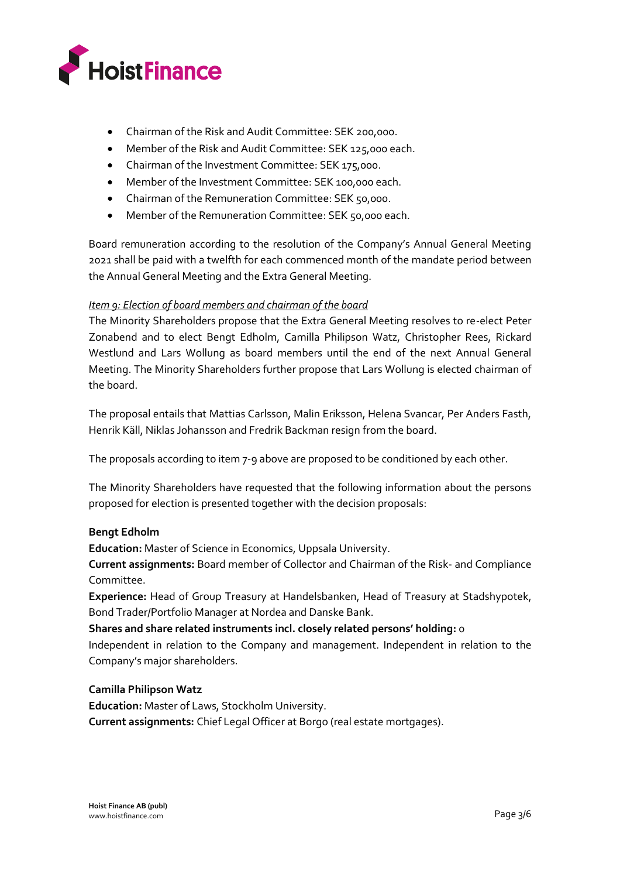

- Chairman of the Risk and Audit Committee: SEK 200,000.
- Member of the Risk and Audit Committee: SEK 125,000 each.
- Chairman of the Investment Committee: SEK 175,000.
- Member of the Investment Committee: SEK 100,000 each.
- Chairman of the Remuneration Committee: SEK 50,000.
- Member of the Remuneration Committee: SEK 50,000 each.

Board remuneration according to the resolution of the Company's Annual General Meeting 2021 shall be paid with a twelfth for each commenced month of the mandate period between the Annual General Meeting and the Extra General Meeting.

# *Item 9: Election of board members and chairman of the board*

The Minority Shareholders propose that the Extra General Meeting resolves to re-elect Peter Zonabend and to elect Bengt Edholm, Camilla Philipson Watz, Christopher Rees, Rickard Westlund and Lars Wollung as board members until the end of the next Annual General Meeting. The Minority Shareholders further propose that Lars Wollung is elected chairman of the board.

The proposal entails that Mattias Carlsson, Malin Eriksson, Helena Svancar, Per Anders Fasth, Henrik Käll, Niklas Johansson and Fredrik Backman resign from the board.

The proposals according to item 7-9 above are proposed to be conditioned by each other.

The Minority Shareholders have requested that the following information about the persons proposed for election is presented together with the decision proposals:

#### **Bengt Edholm**

**Education:** Master of Science in Economics, Uppsala University.

**Current assignments:** Board member of Collector and Chairman of the Risk- and Compliance Committee.

**Experience:** Head of Group Treasury at Handelsbanken, Head of Treasury at Stadshypotek, Bond Trader/Portfolio Manager at Nordea and Danske Bank.

# **Shares and share related instruments incl. closely related persons' holding:** 0

Independent in relation to the Company and management. Independent in relation to the Company's major shareholders.

#### **Camilla Philipson Watz**

**Education:** Master of Laws, Stockholm University. **Current assignments:** Chief Legal Officer at Borgo (real estate mortgages).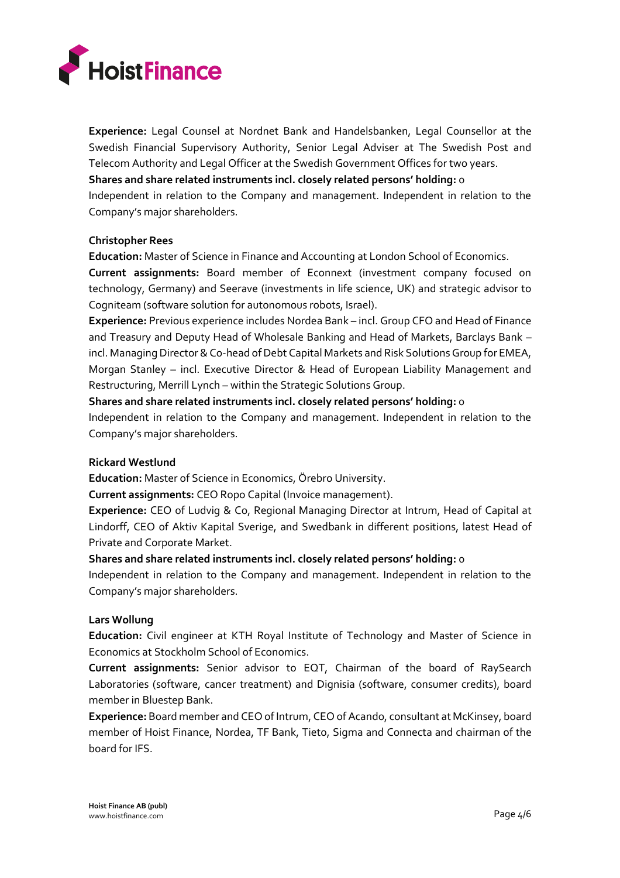

**Experience:** Legal Counsel at Nordnet Bank and Handelsbanken, Legal Counsellor at the Swedish Financial Supervisory Authority, Senior Legal Adviser at The Swedish Post and Telecom Authority and Legal Officer at the Swedish Government Offices for two years. **Shares and share related instruments incl. closely related persons' holding:** 0

Independent in relation to the Company and management. Independent in relation to the Company's major shareholders.

## **Christopher Rees**

**Education:** Master of Science in Finance and Accounting at London School of Economics.

**Current assignments:** Board member of Econnext (investment company focused on technology, Germany) and Seerave (investments in life science, UK) and strategic advisor to Cogniteam (software solution for autonomous robots, Israel).

**Experience:** Previous experience includes Nordea Bank – incl. Group CFO and Head of Finance and Treasury and Deputy Head of Wholesale Banking and Head of Markets, Barclays Bank – incl. Managing Director & Co-head of Debt Capital Markets and Risk Solutions Group for EMEA, Morgan Stanley – incl. Executive Director & Head of European Liability Management and Restructuring, Merrill Lynch – within the Strategic Solutions Group.

**Shares and share related instruments incl. closely related persons' holding:** 0

Independent in relation to the Company and management. Independent in relation to the Company's major shareholders.

#### **Rickard Westlund**

**Education:** Master of Science in Economics, Örebro University.

**Current assignments:** CEO Ropo Capital (Invoice management).

**Experience:** CEO of Ludvig & Co, Regional Managing Director at Intrum, Head of Capital at Lindorff, CEO of Aktiv Kapital Sverige, and Swedbank in different positions, latest Head of Private and Corporate Market.

**Shares and share related instruments incl. closely related persons' holding:** 0

Independent in relation to the Company and management. Independent in relation to the Company's major shareholders.

# **Lars Wollung**

**Education:** Civil engineer at KTH Royal Institute of Technology and Master of Science in Economics at Stockholm School of Economics.

**Current assignments:** Senior advisor to EQT, Chairman of the board of RaySearch Laboratories (software, cancer treatment) and Dignisia (software, consumer credits), board member in Bluestep Bank.

**Experience:** Board member and CEO of Intrum, CEO of Acando, consultant at McKinsey, board member of Hoist Finance, Nordea, TF Bank, Tieto, Sigma and Connecta and chairman of the board for IFS.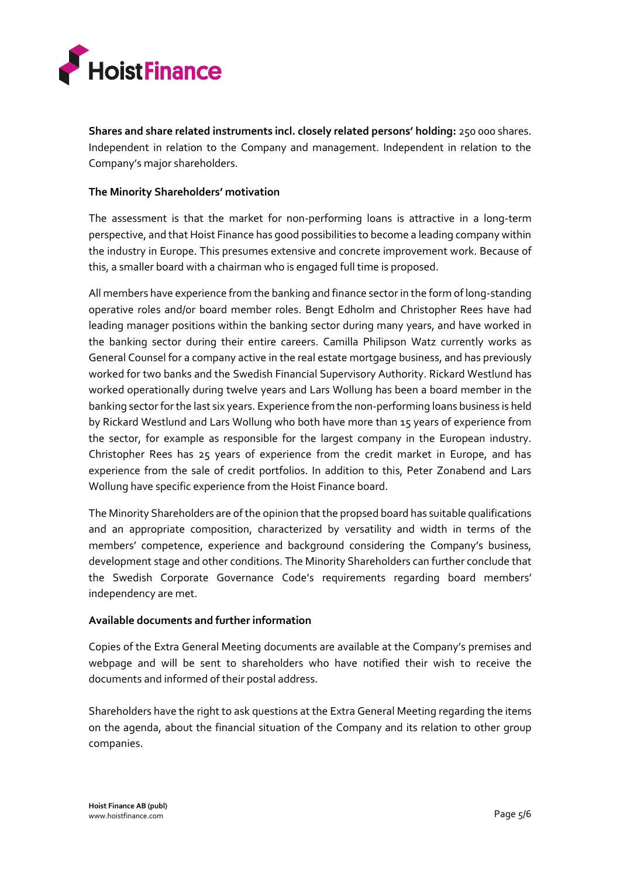

**Shares and share related instruments incl. closely related persons' holding:** 250 000 shares. Independent in relation to the Company and management. Independent in relation to the Company's major shareholders.

## **The Minority Shareholders' motivation**

The assessment is that the market for non-performing loans is attractive in a long-term perspective, and that Hoist Finance has good possibilities to become a leading company within the industry in Europe. This presumes extensive and concrete improvement work. Because of this, a smaller board with a chairman who is engaged full time is proposed.

All members have experience from the banking and finance sector in the form of long-standing operative roles and/or board member roles. Bengt Edholm and Christopher Rees have had leading manager positions within the banking sector during many years, and have worked in the banking sector during their entire careers. Camilla Philipson Watz currently works as General Counsel for a company active in the real estate mortgage business, and has previously worked for two banks and the Swedish Financial Supervisory Authority. Rickard Westlund has worked operationally during twelve years and Lars Wollung has been a board member in the banking sector for the last six years. Experience from the non-performing loans business is held by Rickard Westlund and Lars Wollung who both have more than 15 years of experience from the sector, for example as responsible for the largest company in the European industry. Christopher Rees has 25 years of experience from the credit market in Europe, and has experience from the sale of credit portfolios. In addition to this, Peter Zonabend and Lars Wollung have specific experience from the Hoist Finance board.

The Minority Shareholders are of the opinion that the propsed board has suitable qualifications and an appropriate composition, characterized by versatility and width in terms of the members' competence, experience and background considering the Company's business, development stage and other conditions. The Minority Shareholders can further conclude that the Swedish Corporate Governance Code's requirements regarding board members' independency are met.

#### **Available documents and further information**

Copies of the Extra General Meeting documents are available at the Company's premises and webpage and will be sent to shareholders who have notified their wish to receive the documents and informed of their postal address.

Shareholders have the right to ask questions at the Extra General Meeting regarding the items on the agenda, about the financial situation of the Company and its relation to other group companies.